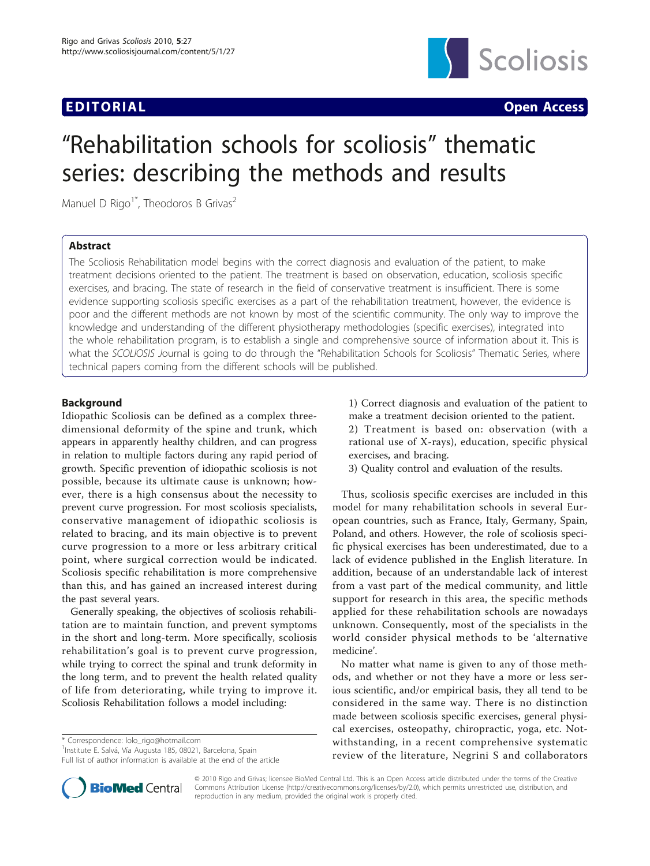## **EDITORIAL** CONTROL CONTROL CONTROL CONTROL CONTROL CONTROL CONTROL CONTROL CONTROL CONTROL CONTROL CONTROL CONTROL CONTROL CONTROL CONTROL CONTROL CONTROL CONTROL CONTROL CONTROL CONTROL CONTROL CONTROL CONTROL CONTROL CO



# "Rehabilitation schools for scoliosis" thematic series: describing the methods and results

Manuel D Rigo<sup>1\*</sup>, Theodoros B Grivas<sup>2</sup>

## Abstract

The Scoliosis Rehabilitation model begins with the correct diagnosis and evaluation of the patient, to make treatment decisions oriented to the patient. The treatment is based on observation, education, scoliosis specific exercises, and bracing. The state of research in the field of conservative treatment is insufficient. There is some evidence supporting scoliosis specific exercises as a part of the rehabilitation treatment, however, the evidence is poor and the different methods are not known by most of the scientific community. The only way to improve the knowledge and understanding of the different physiotherapy methodologies (specific exercises), integrated into the whole rehabilitation program, is to establish a single and comprehensive source of information about it. This is what the SCOLIOSIS Journal is going to do through the "Rehabilitation Schools for Scoliosis" Thematic Series, where technical papers coming from the different schools will be published.

#### Background

Idiopathic Scoliosis can be defined as a complex threedimensional deformity of the spine and trunk, which appears in apparently healthy children, and can progress in relation to multiple factors during any rapid period of growth. Specific prevention of idiopathic scoliosis is not possible, because its ultimate cause is unknown; however, there is a high consensus about the necessity to prevent curve progression. For most scoliosis specialists, conservative management of idiopathic scoliosis is related to bracing, and its main objective is to prevent curve progression to a more or less arbitrary critical point, where surgical correction would be indicated. Scoliosis specific rehabilitation is more comprehensive than this, and has gained an increased interest during the past several years.

Generally speaking, the objectives of scoliosis rehabilitation are to maintain function, and prevent symptoms in the short and long-term. More specifically, scoliosis rehabilitation's goal is to prevent curve progression, while trying to correct the spinal and trunk deformity in the long term, and to prevent the health related quality of life from deteriorating, while trying to improve it. Scoliosis Rehabilitation follows a model including:

\* Correspondence: [lolo\\_rigo@hotmail.com](mailto:lolo_rigo@hotmail.com)

<sup>1</sup>Institute E. Salvá, Vía Augusta 185, 08021, Barcelona, Spain Full list of author information is available at the end of the article



- rational use of X-rays), education, specific physical exercises, and bracing.
- 3) Quality control and evaluation of the results.

Thus, scoliosis specific exercises are included in this model for many rehabilitation schools in several European countries, such as France, Italy, Germany, Spain, Poland, and others. However, the role of scoliosis specific physical exercises has been underestimated, due to a lack of evidence published in the English literature. In addition, because of an understandable lack of interest from a vast part of the medical community, and little support for research in this area, the specific methods applied for these rehabilitation schools are nowadays unknown. Consequently, most of the specialists in the world consider physical methods to be 'alternative medicine'.

No matter what name is given to any of those methods, and whether or not they have a more or less serious scientific, and/or empirical basis, they all tend to be considered in the same way. There is no distinction made between scoliosis specific exercises, general physical exercises, osteopathy, chiropractic, yoga, etc. Notwithstanding, in a recent comprehensive systematic review of the literature, Negrini S and collaborators



© 2010 Rigo and Grivas; licensee BioMed Central Ltd. This is an Open Access article distributed under the terms of the Creative Commons Attribution License [\(http://creativecommons.org/licenses/by/2.0](http://creativecommons.org/licenses/by/2.0)), which permits unrestricted use, distribution, and reproduction in any medium, provided the original work is properly cited.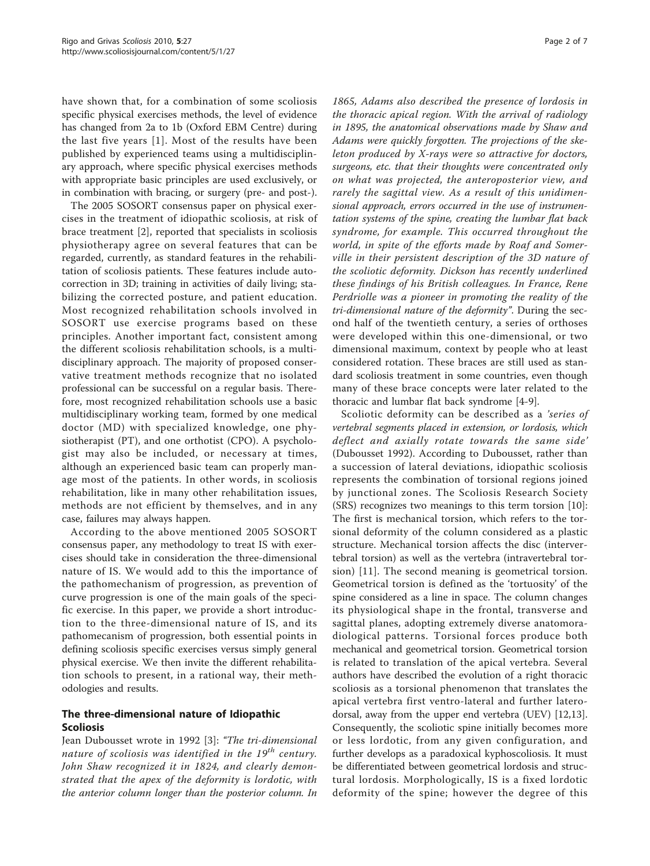have shown that, for a combination of some scoliosis specific physical exercises methods, the level of evidence has changed from 2a to 1b (Oxford EBM Centre) during the last five years [\[1\]](#page-5-0). Most of the results have been published by experienced teams using a multidisciplinary approach, where specific physical exercises methods with appropriate basic principles are used exclusively, or in combination with bracing, or surgery (pre- and post-).

The 2005 SOSORT consensus paper on physical exercises in the treatment of idiopathic scoliosis, at risk of brace treatment [\[2\]](#page-5-0), reported that specialists in scoliosis physiotherapy agree on several features that can be regarded, currently, as standard features in the rehabilitation of scoliosis patients. These features include autocorrection in 3D; training in activities of daily living; stabilizing the corrected posture, and patient education. Most recognized rehabilitation schools involved in SOSORT use exercise programs based on these principles. Another important fact, consistent among the different scoliosis rehabilitation schools, is a multidisciplinary approach. The majority of proposed conservative treatment methods recognize that no isolated professional can be successful on a regular basis. Therefore, most recognized rehabilitation schools use a basic multidisciplinary working team, formed by one medical doctor (MD) with specialized knowledge, one physiotherapist (PT), and one orthotist (CPO). A psychologist may also be included, or necessary at times, although an experienced basic team can properly manage most of the patients. In other words, in scoliosis rehabilitation, like in many other rehabilitation issues, methods are not efficient by themselves, and in any case, failures may always happen.

According to the above mentioned 2005 SOSORT consensus paper, any methodology to treat IS with exercises should take in consideration the three-dimensional nature of IS. We would add to this the importance of the pathomechanism of progression, as prevention of curve progression is one of the main goals of the specific exercise. In this paper, we provide a short introduction to the three-dimensional nature of IS, and its pathomecanism of progression, both essential points in defining scoliosis specific exercises versus simply general physical exercise. We then invite the different rehabilitation schools to present, in a rational way, their methodologies and results.

## The three-dimensional nature of Idiopathic Scoliosis

Jean Dubousset wrote in 1992 [\[3](#page-5-0)]: "The tri-dimensional nature of scoliosis was identified in the  $19^{th}$  century. John Shaw recognized it in 1824, and clearly demonstrated that the apex of the deformity is lordotic, with the anterior column longer than the posterior column. In

1865, Adams also described the presence of lordosis in the thoracic apical region. With the arrival of radiology in 1895, the anatomical observations made by Shaw and Adams were quickly forgotten. The projections of the skeleton produced by X-rays were so attractive for doctors, surgeons, etc. that their thoughts were concentrated only on what was projected, the anteroposterior view, and rarely the sagittal view. As a result of this unidimensional approach, errors occurred in the use of instrumentation systems of the spine, creating the lumbar flat back syndrome, for example. This occurred throughout the world, in spite of the efforts made by Roaf and Somerville in their persistent description of the 3D nature of the scoliotic deformity. Dickson has recently underlined these findings of his British colleagues. In France, Rene Perdriolle was a pioneer in promoting the reality of the tri-dimensional nature of the deformity". During the second half of the twentieth century, a series of orthoses were developed within this one-dimensional, or two dimensional maximum, context by people who at least considered rotation. These braces are still used as standard scoliosis treatment in some countries, even though many of these brace concepts were later related to the thoracic and lumbar flat back syndrome [[4-9](#page-5-0)].

Scoliotic deformity can be described as a 'series of vertebral segments placed in extension, or lordosis, which deflect and axially rotate towards the same side' (Dubousset 1992). According to Dubousset, rather than a succession of lateral deviations, idiopathic scoliosis represents the combination of torsional regions joined by junctional zones. The Scoliosis Research Society (SRS) recognizes two meanings to this term torsion [[10](#page-5-0)]: The first is mechanical torsion, which refers to the torsional deformity of the column considered as a plastic structure. Mechanical torsion affects the disc (intervertebral torsion) as well as the vertebra (intravertebral torsion) [\[11](#page-5-0)]. The second meaning is geometrical torsion. Geometrical torsion is defined as the 'tortuosity' of the spine considered as a line in space. The column changes its physiological shape in the frontal, transverse and sagittal planes, adopting extremely diverse anatomoradiological patterns. Torsional forces produce both mechanical and geometrical torsion. Geometrical torsion is related to translation of the apical vertebra. Several authors have described the evolution of a right thoracic scoliosis as a torsional phenomenon that translates the apical vertebra first ventro-lateral and further laterodorsal, away from the upper end vertebra (UEV) [[12](#page-5-0),[13](#page-5-0)]. Consequently, the scoliotic spine initially becomes more or less lordotic, from any given configuration, and further develops as a paradoxical kyphoscoliosis. It must be differentiated between geometrical lordosis and structural lordosis. Morphologically, IS is a fixed lordotic deformity of the spine; however the degree of this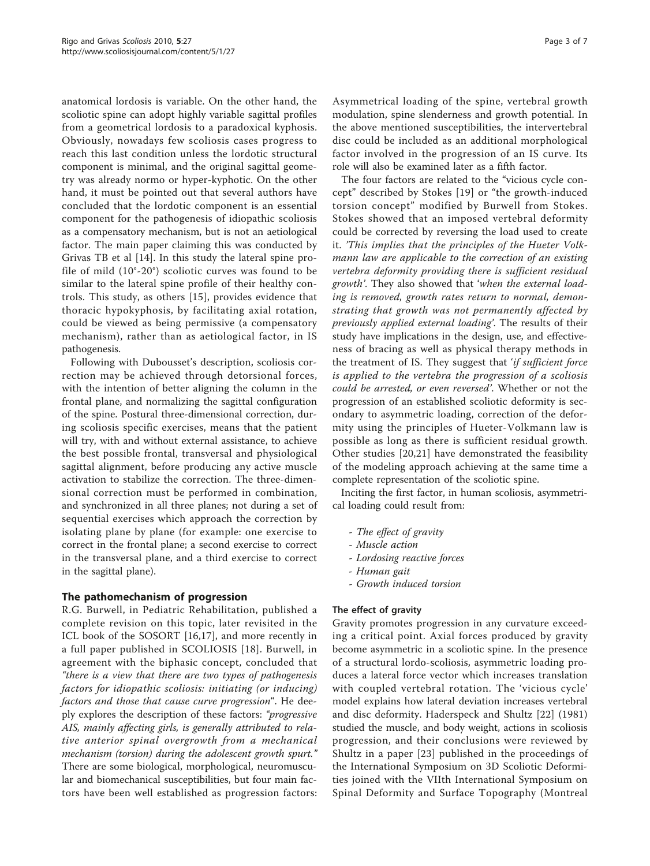anatomical lordosis is variable. On the other hand, the scoliotic spine can adopt highly variable sagittal profiles from a geometrical lordosis to a paradoxical kyphosis. Obviously, nowadays few scoliosis cases progress to reach this last condition unless the lordotic structural component is minimal, and the original sagittal geometry was already normo or hyper-kyphotic. On the other hand, it must be pointed out that several authors have concluded that the lordotic component is an essential component for the pathogenesis of idiopathic scoliosis as a compensatory mechanism, but is not an aetiological factor. The main paper claiming this was conducted by Grivas TB et al [\[14](#page-5-0)]. In this study the lateral spine profile of mild (10°-20°) scoliotic curves was found to be similar to the lateral spine profile of their healthy controls. This study, as others [\[15\]](#page-5-0), provides evidence that thoracic hypokyphosis, by facilitating axial rotation, could be viewed as being permissive (a compensatory mechanism), rather than as aetiological factor, in IS pathogenesis.

Following with Dubousset's description, scoliosis correction may be achieved through detorsional forces, with the intention of better aligning the column in the frontal plane, and normalizing the sagittal configuration of the spine. Postural three-dimensional correction, during scoliosis specific exercises, means that the patient will try, with and without external assistance, to achieve the best possible frontal, transversal and physiological sagittal alignment, before producing any active muscle activation to stabilize the correction. The three-dimensional correction must be performed in combination, and synchronized in all three planes; not during a set of sequential exercises which approach the correction by isolating plane by plane (for example: one exercise to correct in the frontal plane; a second exercise to correct in the transversal plane, and a third exercise to correct in the sagittal plane).

## The pathomechanism of progression

R.G. Burwell, in Pediatric Rehabilitation, published a complete revision on this topic, later revisited in the ICL book of the SOSORT [[16,17](#page-5-0)], and more recently in a full paper published in SCOLIOSIS [\[18\]](#page-5-0). Burwell, in agreement with the biphasic concept, concluded that "there is a view that there are two types of pathogenesis factors for idiopathic scoliosis: initiating (or inducing) factors and those that cause curve progression". He deeply explores the description of these factors: "progressive AIS, mainly affecting girls, is generally attributed to relative anterior spinal overgrowth from a mechanical mechanism (torsion) during the adolescent growth spurt." There are some biological, morphological, neuromuscular and biomechanical susceptibilities, but four main factors have been well established as progression factors: Asymmetrical loading of the spine, vertebral growth modulation, spine slenderness and growth potential. In the above mentioned susceptibilities, the intervertebral disc could be included as an additional morphological factor involved in the progression of an IS curve. Its role will also be examined later as a fifth factor.

The four factors are related to the "vicious cycle concept" described by Stokes [[19](#page-5-0)] or "the growth-induced torsion concept" modified by Burwell from Stokes. Stokes showed that an imposed vertebral deformity could be corrected by reversing the load used to create it. 'This implies that the principles of the Hueter Volkmann law are applicable to the correction of an existing vertebra deformity providing there is sufficient residual growth'. They also showed that 'when the external loading is removed, growth rates return to normal, demonstrating that growth was not permanently affected by previously applied external loading'. The results of their study have implications in the design, use, and effectiveness of bracing as well as physical therapy methods in the treatment of IS. They suggest that 'if sufficient force is applied to the vertebra the progression of a scoliosis could be arrested, or even reversed'. Whether or not the progression of an established scoliotic deformity is secondary to asymmetric loading, correction of the deformity using the principles of Hueter-Volkmann law is possible as long as there is sufficient residual growth. Other studies [[20,21\]](#page-5-0) have demonstrated the feasibility of the modeling approach achieving at the same time a complete representation of the scoliotic spine.

Inciting the first factor, in human scoliosis, asymmetrical loading could result from:

- The effect of gravity
- Muscle action
- Lordosing reactive forces
- Human gait
- Growth induced torsion

#### The effect of gravity

Gravity promotes progression in any curvature exceeding a critical point. Axial forces produced by gravity become asymmetric in a scoliotic spine. In the presence of a structural lordo-scoliosis, asymmetric loading produces a lateral force vector which increases translation with coupled vertebral rotation. The 'vicious cycle' model explains how lateral deviation increases vertebral and disc deformity. Haderspeck and Shultz [[22](#page-5-0)] (1981) studied the muscle, and body weight, actions in scoliosis progression, and their conclusions were reviewed by Shultz in a paper [[23\]](#page-5-0) published in the proceedings of the International Symposium on 3D Scoliotic Deformities joined with the VIIth International Symposium on Spinal Deformity and Surface Topography (Montreal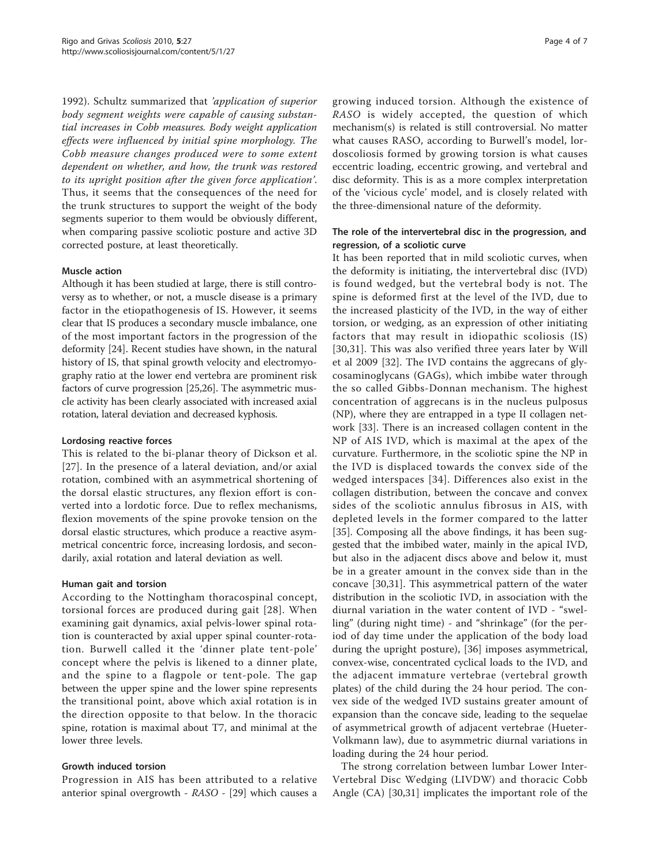1992). Schultz summarized that 'application of superior body segment weights were capable of causing substantial increases in Cobb measures. Body weight application effects were influenced by initial spine morphology. The Cobb measure changes produced were to some extent dependent on whether, and how, the trunk was restored to its upright position after the given force application'. Thus, it seems that the consequences of the need for the trunk structures to support the weight of the body segments superior to them would be obviously different, when comparing passive scoliotic posture and active 3D corrected posture, at least theoretically.

#### Muscle action

Although it has been studied at large, there is still controversy as to whether, or not, a muscle disease is a primary factor in the etiopathogenesis of IS. However, it seems clear that IS produces a secondary muscle imbalance, one of the most important factors in the progression of the deformity [\[24](#page-5-0)]. Recent studies have shown, in the natural history of IS, that spinal growth velocity and electromyography ratio at the lower end vertebra are prominent risk factors of curve progression [\[25](#page-5-0)[,26\]](#page-6-0). The asymmetric muscle activity has been clearly associated with increased axial rotation, lateral deviation and decreased kyphosis.

#### Lordosing reactive forces

This is related to the bi-planar theory of Dickson et al. [[27\]](#page-6-0). In the presence of a lateral deviation, and/or axial rotation, combined with an asymmetrical shortening of the dorsal elastic structures, any flexion effort is converted into a lordotic force. Due to reflex mechanisms, flexion movements of the spine provoke tension on the dorsal elastic structures, which produce a reactive asymmetrical concentric force, increasing lordosis, and secondarily, axial rotation and lateral deviation as well.

#### Human gait and torsion

According to the Nottingham thoracospinal concept, torsional forces are produced during gait [[28](#page-6-0)]. When examining gait dynamics, axial pelvis-lower spinal rotation is counteracted by axial upper spinal counter-rotation. Burwell called it the 'dinner plate tent-pole' concept where the pelvis is likened to a dinner plate, and the spine to a flagpole or tent-pole. The gap between the upper spine and the lower spine represents the transitional point, above which axial rotation is in the direction opposite to that below. In the thoracic spine, rotation is maximal about T7, and minimal at the lower three levels.

#### Growth induced torsion

Progression in AIS has been attributed to a relative anterior spinal overgrowth - RASO - [\[29\]](#page-6-0) which causes a growing induced torsion. Although the existence of RASO is widely accepted, the question of which mechanism(s) is related is still controversial. No matter what causes RASO, according to Burwell's model, lordoscoliosis formed by growing torsion is what causes eccentric loading, eccentric growing, and vertebral and disc deformity. This is as a more complex interpretation of the 'vicious cycle' model, and is closely related with the three-dimensional nature of the deformity.

#### The role of the intervertebral disc in the progression, and regression, of a scoliotic curve

It has been reported that in mild scoliotic curves, when the deformity is initiating, the intervertebral disc (IVD) is found wedged, but the vertebral body is not. The spine is deformed first at the level of the IVD, due to the increased plasticity of the IVD, in the way of either torsion, or wedging, as an expression of other initiating factors that may result in idiopathic scoliosis (IS) [[30,31\]](#page-6-0). This was also verified three years later by Will et al 2009 [[32](#page-6-0)]. The IVD contains the aggrecans of glycosaminoglycans (GAGs), which imbibe water through the so called Gibbs-Donnan mechanism. The highest concentration of aggrecans is in the nucleus pulposus (NP), where they are entrapped in a type II collagen network [[33\]](#page-6-0). There is an increased collagen content in the NP of AIS IVD, which is maximal at the apex of the curvature. Furthermore, in the scoliotic spine the NP in the IVD is displaced towards the convex side of the wedged interspaces [[34\]](#page-6-0). Differences also exist in the collagen distribution, between the concave and convex sides of the scoliotic annulus fibrosus in AIS, with depleted levels in the former compared to the latter [[35\]](#page-6-0). Composing all the above findings, it has been suggested that the imbibed water, mainly in the apical IVD, but also in the adjacent discs above and below it, must be in a greater amount in the convex side than in the concave [\[30,31](#page-6-0)]. This asymmetrical pattern of the water distribution in the scoliotic IVD, in association with the diurnal variation in the water content of IVD - "swelling" (during night time) - and "shrinkage" (for the period of day time under the application of the body load during the upright posture), [\[36](#page-6-0)] imposes asymmetrical, convex-wise, concentrated cyclical loads to the IVD, and the adjacent immature vertebrae (vertebral growth plates) of the child during the 24 hour period. The convex side of the wedged IVD sustains greater amount of expansion than the concave side, leading to the sequelae of asymmetrical growth of adjacent vertebrae (Hueter-Volkmann law), due to asymmetric diurnal variations in loading during the 24 hour period.

The strong correlation between lumbar Lower Inter-Vertebral Disc Wedging (LIVDW) and thoracic Cobb Angle (CA) [\[30,31](#page-6-0)] implicates the important role of the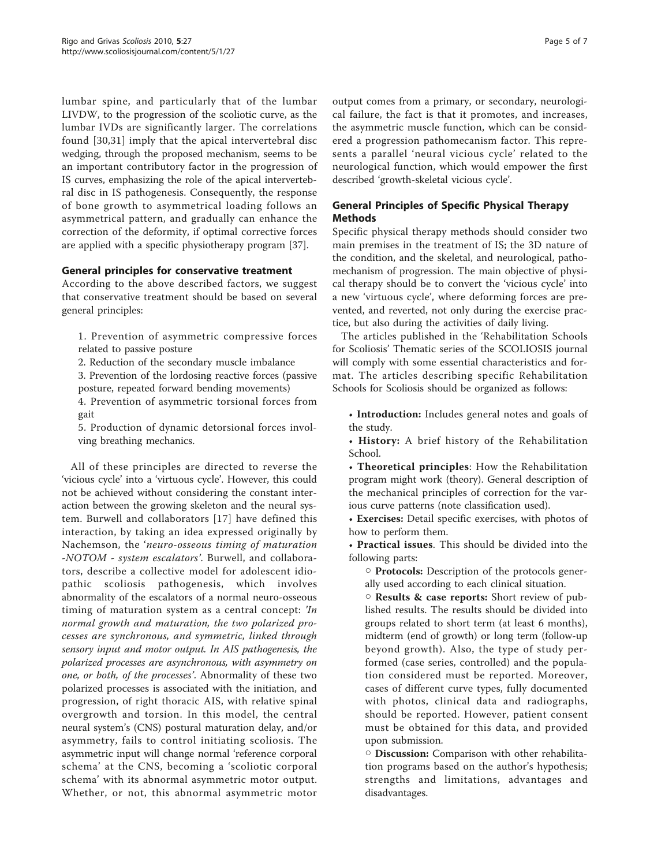lumbar spine, and particularly that of the lumbar LIVDW, to the progression of the scoliotic curve, as the lumbar IVDs are significantly larger. The correlations found [[30,31\]](#page-6-0) imply that the apical intervertebral disc wedging, through the proposed mechanism, seems to be an important contributory factor in the progression of IS curves, emphasizing the role of the apical intervertebral disc in IS pathogenesis. Consequently, the response of bone growth to asymmetrical loading follows an asymmetrical pattern, and gradually can enhance the correction of the deformity, if optimal corrective forces are applied with a specific physiotherapy program [[37\]](#page-6-0).

### General principles for conservative treatment

According to the above described factors, we suggest that conservative treatment should be based on several general principles:

- 1. Prevention of asymmetric compressive forces related to passive posture
- 2. Reduction of the secondary muscle imbalance

3. Prevention of the lordosing reactive forces (passive posture, repeated forward bending movements)

4. Prevention of asymmetric torsional forces from gait

5. Production of dynamic detorsional forces involving breathing mechanics.

All of these principles are directed to reverse the 'vicious cycle' into a 'virtuous cycle'. However, this could not be achieved without considering the constant interaction between the growing skeleton and the neural system. Burwell and collaborators [[17](#page-5-0)] have defined this interaction, by taking an idea expressed originally by Nachemson, the 'neuro-osseous timing of maturation -NOTOM - system escalators'. Burwell, and collaborators, describe a collective model for adolescent idiopathic scoliosis pathogenesis, which involves abnormality of the escalators of a normal neuro-osseous timing of maturation system as a central concept: 'In normal growth and maturation, the two polarized processes are synchronous, and symmetric, linked through sensory input and motor output. In AIS pathogenesis, the polarized processes are asynchronous, with asymmetry on one, or both, of the processes'. Abnormality of these two polarized processes is associated with the initiation, and progression, of right thoracic AIS, with relative spinal overgrowth and torsion. In this model, the central neural system's (CNS) postural maturation delay, and/or asymmetry, fails to control initiating scoliosis. The asymmetric input will change normal 'reference corporal schema' at the CNS, becoming a 'scoliotic corporal schema' with its abnormal asymmetric motor output. Whether, or not, this abnormal asymmetric motor output comes from a primary, or secondary, neurological failure, the fact is that it promotes, and increases, the asymmetric muscle function, which can be considered a progression pathomecanism factor. This represents a parallel 'neural vicious cycle' related to the neurological function, which would empower the first described 'growth-skeletal vicious cycle'.

## General Principles of Specific Physical Therapy Methods

Specific physical therapy methods should consider two main premises in the treatment of IS; the 3D nature of the condition, and the skeletal, and neurological, pathomechanism of progression. The main objective of physical therapy should be to convert the 'vicious cycle' into a new 'virtuous cycle', where deforming forces are prevented, and reverted, not only during the exercise practice, but also during the activities of daily living.

The articles published in the 'Rehabilitation Schools for Scoliosis' Thematic series of the SCOLIOSIS journal will comply with some essential characteristics and format. The articles describing specific Rehabilitation Schools for Scoliosis should be organized as follows:

• **Introduction:** Includes general notes and goals of the study.

• History: A brief history of the Rehabilitation School.

• Theoretical principles: How the Rehabilitation program might work (theory). General description of the mechanical principles of correction for the various curve patterns (note classification used).

• Exercises: Detail specific exercises, with photos of how to perform them.

• Practical issues. This should be divided into the following parts:

○ Protocols: Description of the protocols generally used according to each clinical situation.

○ Results & case reports: Short review of published results. The results should be divided into groups related to short term (at least 6 months), midterm (end of growth) or long term (follow-up beyond growth). Also, the type of study performed (case series, controlled) and the population considered must be reported. Moreover, cases of different curve types, fully documented with photos, clinical data and radiographs, should be reported. However, patient consent must be obtained for this data, and provided upon submission.

○ Discussion: Comparison with other rehabilitation programs based on the author's hypothesis; strengths and limitations, advantages and disadvantages.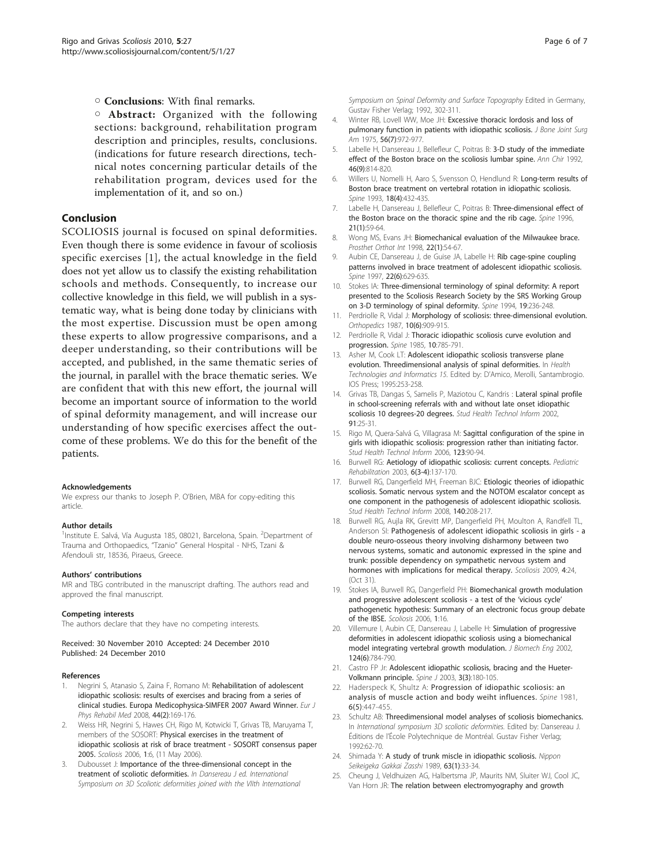<span id="page-5-0"></span>○ Conclusions: With final remarks.

○ Abstract: Organized with the following sections: background, rehabilitation program description and principles, results, conclusions. (indications for future research directions, technical notes concerning particular details of the rehabilitation program, devices used for the implementation of it, and so on.)

### Conclusion

SCOLIOSIS journal is focused on spinal deformities. Even though there is some evidence in favour of scoliosis specific exercises [1], the actual knowledge in the field does not yet allow us to classify the existing rehabilitation schools and methods. Consequently, to increase our collective knowledge in this field, we will publish in a systematic way, what is being done today by clinicians with the most expertise. Discussion must be open among these experts to allow progressive comparisons, and a deeper understanding, so their contributions will be accepted, and published, in the same thematic series of the journal, in parallel with the brace thematic series. We are confident that with this new effort, the journal will become an important source of information to the world of spinal deformity management, and will increase our understanding of how specific exercises affect the outcome of these problems. We do this for the benefit of the patients.

#### Acknowledgements

We express our thanks to Joseph P. O'Brien, MBA for copy-editing this article.

#### Author details

<sup>1</sup>Institute E. Salvá, Vía Augusta 185, 08021, Barcelona, Spain. <sup>2</sup>Department of Trauma and Orthopaedics, "Tzanio" General Hospital - NHS, Tzani & Afendouli str, 18536, Piraeus, Greece.

#### Authors' contributions

MR and TBG contributed in the manuscript drafting. The authors read and approved the final manuscript.

#### Competing interests

The authors declare that they have no competing interests.

Received: 30 November 2010 Accepted: 24 December 2010 Published: 24 December 2010

#### References

- Negrini S, Atanasio S, Zaina F, Romano M: [Rehabilitation of adolescent](http://www.ncbi.nlm.nih.gov/pubmed/18418337?dopt=Abstract) [idiopathic scoliosis: results of exercises and bracing from a series of](http://www.ncbi.nlm.nih.gov/pubmed/18418337?dopt=Abstract) [clinical studies. Europa Medicophysica-SIMFER 2007 Award Winner.](http://www.ncbi.nlm.nih.gov/pubmed/18418337?dopt=Abstract) Eur J Phys Rehabil Med 2008, 44(2):169-176.
- 2. Weiss HR, Negrini S, Hawes CH, Rigo M, Kotwicki T, Grivas TB, Maruyama T, members of the SOSORT: [Physical exercises in the treatment of](http://www.ncbi.nlm.nih.gov/pubmed/16759360?dopt=Abstract) [idiopathic scoliosis at risk of brace treatment - SOSORT consensus paper](http://www.ncbi.nlm.nih.gov/pubmed/16759360?dopt=Abstract) [2005.](http://www.ncbi.nlm.nih.gov/pubmed/16759360?dopt=Abstract) Scoliosis 2006, 1:6, (11 May 2006).
- 3. Dubousset J: Importance of the three-dimensional concept in the treatment of scoliotic deformities. In Dansereau J ed. International Symposium on 3D Scoliotic deformities joined with the VIIth International

Symposium on Spinal Deformity and Surface Topography Edited in Germany, Gustav Fisher Verlag; 1992, 302-311.

- 4. Winter RB, Lovell WW, Moe JH: Excessive thoracic lordosis and loss of pulmonary function in patients with idiopathic scoliosis. J Bone Joint Surg Am 1975, 56(7):972-977.
- 5. Labelle H, Dansereau J, Bellefleur C, Poitras B: [3-D study of the immediate](http://www.ncbi.nlm.nih.gov/pubmed/1299160?dopt=Abstract) [effect of the Boston brace on the scoliosis lumbar spine.](http://www.ncbi.nlm.nih.gov/pubmed/1299160?dopt=Abstract) Ann Chir 1992, 46(9):814-820.
- 6. Willers U, Nomelli H, Aaro S, Svensson O, Hendlund R: [Long-term results of](http://www.ncbi.nlm.nih.gov/pubmed/8470002?dopt=Abstract) [Boston brace treatment on vertebral rotation in idiopathic scoliosis.](http://www.ncbi.nlm.nih.gov/pubmed/8470002?dopt=Abstract) Spine 1993, 18(4):432-435.
- 7. Labelle H, Dansereau J, Bellefleur C, Poitras B: [Three-dimensional effect of](http://www.ncbi.nlm.nih.gov/pubmed/9122764?dopt=Abstract) [the Boston brace on the thoracic spine and the rib cage.](http://www.ncbi.nlm.nih.gov/pubmed/9122764?dopt=Abstract) Spine 1996, 21(1):59-64.
- 8. Wong MS, Evans JH: [Biomechanical evaluation of the Milwaukee brace.](http://www.ncbi.nlm.nih.gov/pubmed/9604276?dopt=Abstract) Prosthet Orthot Int 1998, 22(1):54-67.
- 9. Aubin CE, Dansereau J, de Guise JA, Labelle H: [Rib cage-spine coupling](http://www.ncbi.nlm.nih.gov/pubmed/9089935?dopt=Abstract) [patterns involved in brace treatment of adolescent idiopathic scoliosis.](http://www.ncbi.nlm.nih.gov/pubmed/9089935?dopt=Abstract) Spine 1997, 22(6):629-635.
- 10. Stokes IA: [Three-dimensional terminology of spinal deformity: A report](http://www.ncbi.nlm.nih.gov/pubmed/8153835?dopt=Abstract) [presented to the Scoliosis Research Society by the SRS Working Group](http://www.ncbi.nlm.nih.gov/pubmed/8153835?dopt=Abstract) [on 3-D terminology of spinal deformity.](http://www.ncbi.nlm.nih.gov/pubmed/8153835?dopt=Abstract) Spine 1994, 19:236-248.
- 11. Perdriolle R, Vidal J: [Morphology of scoliosis: three-dimensional evolution.](http://www.ncbi.nlm.nih.gov/pubmed/3615285?dopt=Abstract) Orthopedics 1987, 10(6):909-915.
- 12. Perdriolle R, Vidal J: [Thoracic idiopathic scoliosis curve evolution and](http://www.ncbi.nlm.nih.gov/pubmed/4089651?dopt=Abstract) [progression.](http://www.ncbi.nlm.nih.gov/pubmed/4089651?dopt=Abstract) Spine 1985, 10:785-791.
- 13. Asher M, Cook LT: Adolescent idiopathic scoliosis transverse plane evolution. Threedimensional analysis of spinal deformities. In Health Technologies and Informatics 15. Edited by: D'Amico, Merolli, Santambrogio. IOS Press; 1995:253-258.
- 14. Grivas TB, Dangas S, Samelis P, Maziotou C, Kandris : [Lateral spinal profile](http://www.ncbi.nlm.nih.gov/pubmed/15457689?dopt=Abstract) [in school-screening referrals with and without late onset idiopathic](http://www.ncbi.nlm.nih.gov/pubmed/15457689?dopt=Abstract) [scoliosis 10 degrees-20 degrees.](http://www.ncbi.nlm.nih.gov/pubmed/15457689?dopt=Abstract) Stud Health Technol Inform 2002, 91:25-31.
- 15. Rigo M, Quera-Salvá G, Villagrasa M: [Sagittal configuration of the spine in](http://www.ncbi.nlm.nih.gov/pubmed/17108409?dopt=Abstract) [girls with idiopathic scoliosis: progression rather than initiating factor.](http://www.ncbi.nlm.nih.gov/pubmed/17108409?dopt=Abstract) Stud Health Technol Inform 2006, 123:90-94.
- 16. Burwell RG: [Aetiology of idiopathic scoliosis: current concepts.](http://www.ncbi.nlm.nih.gov/pubmed/14713582?dopt=Abstract) Pediatric Rehabilitation 2003, 6(3-4):137-170.
- 17. Burwell RG, Dangerfield MH, Freeman BJC: [Etiologic theories of idiopathic](http://www.ncbi.nlm.nih.gov/pubmed/18810026?dopt=Abstract) [scoliosis. Somatic nervous system and the NOTOM escalator concept as](http://www.ncbi.nlm.nih.gov/pubmed/18810026?dopt=Abstract) [one component in the pathogenesis of adolescent idiopathic scoliosis.](http://www.ncbi.nlm.nih.gov/pubmed/18810026?dopt=Abstract) Stud Health Technol Inform 2008, 140:208-217.
- 18. Burwell RG, Aujla RK, Grevitt MP, Dangerfield PH, Moulton A, Randfell TL, Anderson SI: [Pathogenesis of adolescent idiopathic scoliosis in girls - a](http://www.ncbi.nlm.nih.gov/pubmed/19878575?dopt=Abstract) [double neuro-osseous theory involving disharmony between two](http://www.ncbi.nlm.nih.gov/pubmed/19878575?dopt=Abstract) [nervous systems, somatic and autonomic expressed in the spine and](http://www.ncbi.nlm.nih.gov/pubmed/19878575?dopt=Abstract) [trunk: possible dependency on sympathetic nervous system and](http://www.ncbi.nlm.nih.gov/pubmed/19878575?dopt=Abstract) [hormones with implications for medical therapy.](http://www.ncbi.nlm.nih.gov/pubmed/19878575?dopt=Abstract) Scoliosis 2009, 4:24, (Oct 31).
- 19. Stokes IA, Burwell RG, Dangerfield PH: [Biomechanical growth modulation](http://www.ncbi.nlm.nih.gov/pubmed/17049077?dopt=Abstract) [and progressive adolescent scoliosis - a test of the](http://www.ncbi.nlm.nih.gov/pubmed/17049077?dopt=Abstract) 'vicious cycle' [pathogenetic hypothesis: Summary of an electronic focus group debate](http://www.ncbi.nlm.nih.gov/pubmed/17049077?dopt=Abstract) [of the IBSE.](http://www.ncbi.nlm.nih.gov/pubmed/17049077?dopt=Abstract) Scoliosis 2006, 1:16.
- 20. Villemure I, Aubin CE, Dansereau J, Labelle H: [Simulation of progressive](http://www.ncbi.nlm.nih.gov/pubmed/12596648?dopt=Abstract) [deformities in adolescent idiopathic scoliosis using a biomechanical](http://www.ncbi.nlm.nih.gov/pubmed/12596648?dopt=Abstract) [model integrating vertebral growth modulation.](http://www.ncbi.nlm.nih.gov/pubmed/12596648?dopt=Abstract) J Biomech Eng 2002, 124(6):784-790.
- 21. Castro FP Jr: [Adolescent idiopathic scoliosis, bracing and the Hueter-](http://www.ncbi.nlm.nih.gov/pubmed/14589197?dopt=Abstract)[Volkmann principle.](http://www.ncbi.nlm.nih.gov/pubmed/14589197?dopt=Abstract) Spine J 2003, 3(3):180-105.
- 22. Haderspeck K, Shultz A: [Progression of idiopathic scoliosis: an](http://www.ncbi.nlm.nih.gov/pubmed/7302678?dopt=Abstract) [analysis of muscle action and body weiht influences.](http://www.ncbi.nlm.nih.gov/pubmed/7302678?dopt=Abstract) Spine 1981, 6(5):447-455.
- 23. Schultz AB: Threedimensional model analyses of scoliosis biomechanics. In International symposium 3D scoliotic deformities. Edited by: Dansereau J. Éditions de l'École Polytechnique de Montréal. Gustav Fisher Verlag; 1992:62-70.
- 24. Shimada Y: [A study of trunk miscle in idiopathic scoliosis.](http://www.ncbi.nlm.nih.gov/pubmed/2723496?dopt=Abstract) Nippon Seikeigeka Gakkai Zasshi 1989, 63(1):33-34.
- 25. Cheung J, Veldhuizen AG, Halbertsma JP, Maurits NM, Sluiter WJ, Cool JC, Van Horn JR: [The relation between electromyography and growth](http://www.ncbi.nlm.nih.gov/pubmed/15105674?dopt=Abstract)